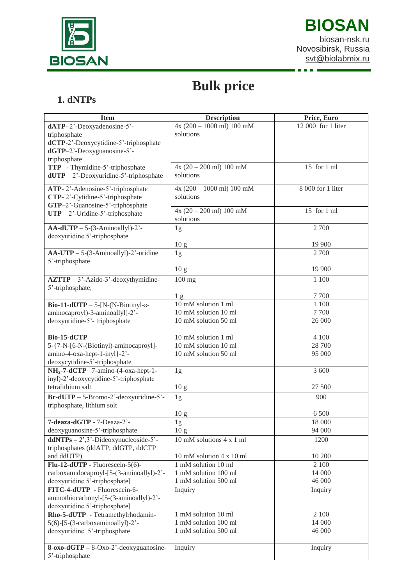

 $\blacksquare$ 

## **Bulk price**

## **1. dNTPs**

| $4x(200 - 1000$ ml) 100 mM<br>12 000 for 1 liter<br>dATP-2'-Deoxyadenosine-5'-<br>solutions<br>triphosphate<br>dCTP-2'-Deoxycytidine-5'-triphosphate<br>$dGTP-2'$ -Deoxyguanosine-5'-<br>triphosphate<br>$4x(20 - 200$ ml) 100 mM<br>15 for 1 ml<br>TTP - Thymidine-5'-triphosphate<br>solutions<br>$dUTP - 2$ '-Deoxyuridine-5'-triphosphate<br>ATP-2'-Adenosine-5'-triphosphate<br>$4x (200 - 1000$ ml) 100 mM<br>8 000 for 1 liter<br>CTP-2'-Cytidine-5'-triphosphate<br>solutions<br>GTP-2'-Guanosine-5'-triphosphate<br>$4x(20 - 200$ ml) 100 mM<br>15 for 1 ml<br>$UTP - 2'$ -Uridine-5'-triphosphate<br>solutions<br>2 700<br>$AA-dUTP - 5-(3-Aminoulyl)-2'$ -<br>1g<br>deoxyuridine 5'-triphosphate<br>19 900<br>10 <sub>g</sub><br>$AA-UTP - 5-(3-Aminoallyl)-2'$ -uridine<br>2 700<br>1g<br>5'-triphosphate<br>19 900<br>10 <sub>g</sub><br>$AZTTP - 3'-Azido-3'-deoxythymidine-$<br>$100$ mg<br>1 100<br>5'-triphosphate,<br>7 700<br>1 <sub>g</sub><br>10 mM solution 1 ml<br>1 100<br>Bio-11-dUTP - 5-[N-(N-Biotinyl- $\varepsilon$ -<br>10 mM solution 10 ml<br>7 700<br>aminocaproyl)-3-aminoallyl]-2'-<br>26 000<br>deoxyuridine-5'-triphosphate<br>10 mM solution 50 ml<br><b>Bio-15-dCTP</b><br>10 mM solution 1 ml<br>4 100<br>5-{7-N-[6-N-(Biotinyl)-aminocaproyl]-<br>10 mM solution 10 ml<br>28 700<br>amino-4-oxa-hept-1-inyl}-2'-<br>95 000<br>10 mM solution 50 ml<br>deoxycytidine-5'-triphosphate<br>$NH_2$ -7-dCTP 7-amino-(4-oxa-hept-1-<br>3 600<br>1g<br>inyl)-2'-deoxycytidine-5'-triphosphate<br>tetralithium salt<br>27 500<br>10 <sub>g</sub><br>$Br-dUTP - 5-Bromo-2'-deoxyuridine-5'-$<br>900<br>1g<br>triphosphate, lithium solt<br>6 500<br>10 <sub>g</sub><br>18 000<br>7-deaza-dGTP - 7-Deaza-2'-<br>1g<br>94 000<br>10 <sub>g</sub><br>deoxyguanosine-5'-triphosphate<br>$ddNTPs - 2$ <sup>2</sup> , $3$ <sup>2</sup> -Dideoxynucleoside-5 <sup>2</sup> -<br>1200<br>10 mM solutions 4 x 1 ml<br>triphosphates (ddATP, ddGTP, ddCTP<br>and ddUTP)<br>10 mM solution 4 x 10 ml<br>10 200<br>Flu-12-dUTP - Fluorescein-5(6)-<br>1 mM solution 10 ml<br>2 100<br>carboxamidocaproyl-[5-(3-aminoallyl)-2'-<br>1 mM solution 100 ml<br>14 000<br>1 mM solution 500 ml<br>deoxyuridine 5'-triphosphate]<br>46 000<br>FITC-4-dUTP - Fluorescein-6-<br>Inquiry<br>Inquiry<br>aminothiocarbonyl-[5-(3-aminoallyl)-2'-<br>deoxyuridine 5'-triphosphate]<br>Rho-5-dUTP - Tetramethylrhodamin-<br>1 mM solution 10 ml<br>2 100<br>$5(6)$ - $[5-(3$ -carboxaminoallyl)-2'-<br>1 mM solution 100 ml<br>14 000<br>deoxyuridine 5'-triphosphate<br>1 mM solution 500 ml<br>46 000<br>$8$ -oxo-dGTP – $8$ -Oxo-2'-deoxyguanosine-<br>Inquiry<br>Inquiry<br>5'-triphosphate | <b>Item</b> | <b>Description</b> | Price, Euro |
|-----------------------------------------------------------------------------------------------------------------------------------------------------------------------------------------------------------------------------------------------------------------------------------------------------------------------------------------------------------------------------------------------------------------------------------------------------------------------------------------------------------------------------------------------------------------------------------------------------------------------------------------------------------------------------------------------------------------------------------------------------------------------------------------------------------------------------------------------------------------------------------------------------------------------------------------------------------------------------------------------------------------------------------------------------------------------------------------------------------------------------------------------------------------------------------------------------------------------------------------------------------------------------------------------------------------------------------------------------------------------------------------------------------------------------------------------------------------------------------------------------------------------------------------------------------------------------------------------------------------------------------------------------------------------------------------------------------------------------------------------------------------------------------------------------------------------------------------------------------------------------------------------------------------------------------------------------------------------------------------------------------------------------------------------------------------------------------------------------------------------------------------------------------------------------------------------------------------------------------------------------------------------------------------------------------------------------------------------------------------------------------------------------------------------------------------------------------------------------------------------------------------------------------------------------------------------------------------------------------------------------------------------------------------------------------------------------|-------------|--------------------|-------------|
|                                                                                                                                                                                                                                                                                                                                                                                                                                                                                                                                                                                                                                                                                                                                                                                                                                                                                                                                                                                                                                                                                                                                                                                                                                                                                                                                                                                                                                                                                                                                                                                                                                                                                                                                                                                                                                                                                                                                                                                                                                                                                                                                                                                                                                                                                                                                                                                                                                                                                                                                                                                                                                                                                                     |             |                    |             |
|                                                                                                                                                                                                                                                                                                                                                                                                                                                                                                                                                                                                                                                                                                                                                                                                                                                                                                                                                                                                                                                                                                                                                                                                                                                                                                                                                                                                                                                                                                                                                                                                                                                                                                                                                                                                                                                                                                                                                                                                                                                                                                                                                                                                                                                                                                                                                                                                                                                                                                                                                                                                                                                                                                     |             |                    |             |
|                                                                                                                                                                                                                                                                                                                                                                                                                                                                                                                                                                                                                                                                                                                                                                                                                                                                                                                                                                                                                                                                                                                                                                                                                                                                                                                                                                                                                                                                                                                                                                                                                                                                                                                                                                                                                                                                                                                                                                                                                                                                                                                                                                                                                                                                                                                                                                                                                                                                                                                                                                                                                                                                                                     |             |                    |             |
|                                                                                                                                                                                                                                                                                                                                                                                                                                                                                                                                                                                                                                                                                                                                                                                                                                                                                                                                                                                                                                                                                                                                                                                                                                                                                                                                                                                                                                                                                                                                                                                                                                                                                                                                                                                                                                                                                                                                                                                                                                                                                                                                                                                                                                                                                                                                                                                                                                                                                                                                                                                                                                                                                                     |             |                    |             |
|                                                                                                                                                                                                                                                                                                                                                                                                                                                                                                                                                                                                                                                                                                                                                                                                                                                                                                                                                                                                                                                                                                                                                                                                                                                                                                                                                                                                                                                                                                                                                                                                                                                                                                                                                                                                                                                                                                                                                                                                                                                                                                                                                                                                                                                                                                                                                                                                                                                                                                                                                                                                                                                                                                     |             |                    |             |
|                                                                                                                                                                                                                                                                                                                                                                                                                                                                                                                                                                                                                                                                                                                                                                                                                                                                                                                                                                                                                                                                                                                                                                                                                                                                                                                                                                                                                                                                                                                                                                                                                                                                                                                                                                                                                                                                                                                                                                                                                                                                                                                                                                                                                                                                                                                                                                                                                                                                                                                                                                                                                                                                                                     |             |                    |             |
|                                                                                                                                                                                                                                                                                                                                                                                                                                                                                                                                                                                                                                                                                                                                                                                                                                                                                                                                                                                                                                                                                                                                                                                                                                                                                                                                                                                                                                                                                                                                                                                                                                                                                                                                                                                                                                                                                                                                                                                                                                                                                                                                                                                                                                                                                                                                                                                                                                                                                                                                                                                                                                                                                                     |             |                    |             |
|                                                                                                                                                                                                                                                                                                                                                                                                                                                                                                                                                                                                                                                                                                                                                                                                                                                                                                                                                                                                                                                                                                                                                                                                                                                                                                                                                                                                                                                                                                                                                                                                                                                                                                                                                                                                                                                                                                                                                                                                                                                                                                                                                                                                                                                                                                                                                                                                                                                                                                                                                                                                                                                                                                     |             |                    |             |
|                                                                                                                                                                                                                                                                                                                                                                                                                                                                                                                                                                                                                                                                                                                                                                                                                                                                                                                                                                                                                                                                                                                                                                                                                                                                                                                                                                                                                                                                                                                                                                                                                                                                                                                                                                                                                                                                                                                                                                                                                                                                                                                                                                                                                                                                                                                                                                                                                                                                                                                                                                                                                                                                                                     |             |                    |             |
|                                                                                                                                                                                                                                                                                                                                                                                                                                                                                                                                                                                                                                                                                                                                                                                                                                                                                                                                                                                                                                                                                                                                                                                                                                                                                                                                                                                                                                                                                                                                                                                                                                                                                                                                                                                                                                                                                                                                                                                                                                                                                                                                                                                                                                                                                                                                                                                                                                                                                                                                                                                                                                                                                                     |             |                    |             |
|                                                                                                                                                                                                                                                                                                                                                                                                                                                                                                                                                                                                                                                                                                                                                                                                                                                                                                                                                                                                                                                                                                                                                                                                                                                                                                                                                                                                                                                                                                                                                                                                                                                                                                                                                                                                                                                                                                                                                                                                                                                                                                                                                                                                                                                                                                                                                                                                                                                                                                                                                                                                                                                                                                     |             |                    |             |
|                                                                                                                                                                                                                                                                                                                                                                                                                                                                                                                                                                                                                                                                                                                                                                                                                                                                                                                                                                                                                                                                                                                                                                                                                                                                                                                                                                                                                                                                                                                                                                                                                                                                                                                                                                                                                                                                                                                                                                                                                                                                                                                                                                                                                                                                                                                                                                                                                                                                                                                                                                                                                                                                                                     |             |                    |             |
|                                                                                                                                                                                                                                                                                                                                                                                                                                                                                                                                                                                                                                                                                                                                                                                                                                                                                                                                                                                                                                                                                                                                                                                                                                                                                                                                                                                                                                                                                                                                                                                                                                                                                                                                                                                                                                                                                                                                                                                                                                                                                                                                                                                                                                                                                                                                                                                                                                                                                                                                                                                                                                                                                                     |             |                    |             |
|                                                                                                                                                                                                                                                                                                                                                                                                                                                                                                                                                                                                                                                                                                                                                                                                                                                                                                                                                                                                                                                                                                                                                                                                                                                                                                                                                                                                                                                                                                                                                                                                                                                                                                                                                                                                                                                                                                                                                                                                                                                                                                                                                                                                                                                                                                                                                                                                                                                                                                                                                                                                                                                                                                     |             |                    |             |
|                                                                                                                                                                                                                                                                                                                                                                                                                                                                                                                                                                                                                                                                                                                                                                                                                                                                                                                                                                                                                                                                                                                                                                                                                                                                                                                                                                                                                                                                                                                                                                                                                                                                                                                                                                                                                                                                                                                                                                                                                                                                                                                                                                                                                                                                                                                                                                                                                                                                                                                                                                                                                                                                                                     |             |                    |             |
|                                                                                                                                                                                                                                                                                                                                                                                                                                                                                                                                                                                                                                                                                                                                                                                                                                                                                                                                                                                                                                                                                                                                                                                                                                                                                                                                                                                                                                                                                                                                                                                                                                                                                                                                                                                                                                                                                                                                                                                                                                                                                                                                                                                                                                                                                                                                                                                                                                                                                                                                                                                                                                                                                                     |             |                    |             |
|                                                                                                                                                                                                                                                                                                                                                                                                                                                                                                                                                                                                                                                                                                                                                                                                                                                                                                                                                                                                                                                                                                                                                                                                                                                                                                                                                                                                                                                                                                                                                                                                                                                                                                                                                                                                                                                                                                                                                                                                                                                                                                                                                                                                                                                                                                                                                                                                                                                                                                                                                                                                                                                                                                     |             |                    |             |
|                                                                                                                                                                                                                                                                                                                                                                                                                                                                                                                                                                                                                                                                                                                                                                                                                                                                                                                                                                                                                                                                                                                                                                                                                                                                                                                                                                                                                                                                                                                                                                                                                                                                                                                                                                                                                                                                                                                                                                                                                                                                                                                                                                                                                                                                                                                                                                                                                                                                                                                                                                                                                                                                                                     |             |                    |             |
|                                                                                                                                                                                                                                                                                                                                                                                                                                                                                                                                                                                                                                                                                                                                                                                                                                                                                                                                                                                                                                                                                                                                                                                                                                                                                                                                                                                                                                                                                                                                                                                                                                                                                                                                                                                                                                                                                                                                                                                                                                                                                                                                                                                                                                                                                                                                                                                                                                                                                                                                                                                                                                                                                                     |             |                    |             |
|                                                                                                                                                                                                                                                                                                                                                                                                                                                                                                                                                                                                                                                                                                                                                                                                                                                                                                                                                                                                                                                                                                                                                                                                                                                                                                                                                                                                                                                                                                                                                                                                                                                                                                                                                                                                                                                                                                                                                                                                                                                                                                                                                                                                                                                                                                                                                                                                                                                                                                                                                                                                                                                                                                     |             |                    |             |
|                                                                                                                                                                                                                                                                                                                                                                                                                                                                                                                                                                                                                                                                                                                                                                                                                                                                                                                                                                                                                                                                                                                                                                                                                                                                                                                                                                                                                                                                                                                                                                                                                                                                                                                                                                                                                                                                                                                                                                                                                                                                                                                                                                                                                                                                                                                                                                                                                                                                                                                                                                                                                                                                                                     |             |                    |             |
|                                                                                                                                                                                                                                                                                                                                                                                                                                                                                                                                                                                                                                                                                                                                                                                                                                                                                                                                                                                                                                                                                                                                                                                                                                                                                                                                                                                                                                                                                                                                                                                                                                                                                                                                                                                                                                                                                                                                                                                                                                                                                                                                                                                                                                                                                                                                                                                                                                                                                                                                                                                                                                                                                                     |             |                    |             |
|                                                                                                                                                                                                                                                                                                                                                                                                                                                                                                                                                                                                                                                                                                                                                                                                                                                                                                                                                                                                                                                                                                                                                                                                                                                                                                                                                                                                                                                                                                                                                                                                                                                                                                                                                                                                                                                                                                                                                                                                                                                                                                                                                                                                                                                                                                                                                                                                                                                                                                                                                                                                                                                                                                     |             |                    |             |
|                                                                                                                                                                                                                                                                                                                                                                                                                                                                                                                                                                                                                                                                                                                                                                                                                                                                                                                                                                                                                                                                                                                                                                                                                                                                                                                                                                                                                                                                                                                                                                                                                                                                                                                                                                                                                                                                                                                                                                                                                                                                                                                                                                                                                                                                                                                                                                                                                                                                                                                                                                                                                                                                                                     |             |                    |             |
|                                                                                                                                                                                                                                                                                                                                                                                                                                                                                                                                                                                                                                                                                                                                                                                                                                                                                                                                                                                                                                                                                                                                                                                                                                                                                                                                                                                                                                                                                                                                                                                                                                                                                                                                                                                                                                                                                                                                                                                                                                                                                                                                                                                                                                                                                                                                                                                                                                                                                                                                                                                                                                                                                                     |             |                    |             |
|                                                                                                                                                                                                                                                                                                                                                                                                                                                                                                                                                                                                                                                                                                                                                                                                                                                                                                                                                                                                                                                                                                                                                                                                                                                                                                                                                                                                                                                                                                                                                                                                                                                                                                                                                                                                                                                                                                                                                                                                                                                                                                                                                                                                                                                                                                                                                                                                                                                                                                                                                                                                                                                                                                     |             |                    |             |
|                                                                                                                                                                                                                                                                                                                                                                                                                                                                                                                                                                                                                                                                                                                                                                                                                                                                                                                                                                                                                                                                                                                                                                                                                                                                                                                                                                                                                                                                                                                                                                                                                                                                                                                                                                                                                                                                                                                                                                                                                                                                                                                                                                                                                                                                                                                                                                                                                                                                                                                                                                                                                                                                                                     |             |                    |             |
|                                                                                                                                                                                                                                                                                                                                                                                                                                                                                                                                                                                                                                                                                                                                                                                                                                                                                                                                                                                                                                                                                                                                                                                                                                                                                                                                                                                                                                                                                                                                                                                                                                                                                                                                                                                                                                                                                                                                                                                                                                                                                                                                                                                                                                                                                                                                                                                                                                                                                                                                                                                                                                                                                                     |             |                    |             |
|                                                                                                                                                                                                                                                                                                                                                                                                                                                                                                                                                                                                                                                                                                                                                                                                                                                                                                                                                                                                                                                                                                                                                                                                                                                                                                                                                                                                                                                                                                                                                                                                                                                                                                                                                                                                                                                                                                                                                                                                                                                                                                                                                                                                                                                                                                                                                                                                                                                                                                                                                                                                                                                                                                     |             |                    |             |
|                                                                                                                                                                                                                                                                                                                                                                                                                                                                                                                                                                                                                                                                                                                                                                                                                                                                                                                                                                                                                                                                                                                                                                                                                                                                                                                                                                                                                                                                                                                                                                                                                                                                                                                                                                                                                                                                                                                                                                                                                                                                                                                                                                                                                                                                                                                                                                                                                                                                                                                                                                                                                                                                                                     |             |                    |             |
|                                                                                                                                                                                                                                                                                                                                                                                                                                                                                                                                                                                                                                                                                                                                                                                                                                                                                                                                                                                                                                                                                                                                                                                                                                                                                                                                                                                                                                                                                                                                                                                                                                                                                                                                                                                                                                                                                                                                                                                                                                                                                                                                                                                                                                                                                                                                                                                                                                                                                                                                                                                                                                                                                                     |             |                    |             |
|                                                                                                                                                                                                                                                                                                                                                                                                                                                                                                                                                                                                                                                                                                                                                                                                                                                                                                                                                                                                                                                                                                                                                                                                                                                                                                                                                                                                                                                                                                                                                                                                                                                                                                                                                                                                                                                                                                                                                                                                                                                                                                                                                                                                                                                                                                                                                                                                                                                                                                                                                                                                                                                                                                     |             |                    |             |
|                                                                                                                                                                                                                                                                                                                                                                                                                                                                                                                                                                                                                                                                                                                                                                                                                                                                                                                                                                                                                                                                                                                                                                                                                                                                                                                                                                                                                                                                                                                                                                                                                                                                                                                                                                                                                                                                                                                                                                                                                                                                                                                                                                                                                                                                                                                                                                                                                                                                                                                                                                                                                                                                                                     |             |                    |             |
|                                                                                                                                                                                                                                                                                                                                                                                                                                                                                                                                                                                                                                                                                                                                                                                                                                                                                                                                                                                                                                                                                                                                                                                                                                                                                                                                                                                                                                                                                                                                                                                                                                                                                                                                                                                                                                                                                                                                                                                                                                                                                                                                                                                                                                                                                                                                                                                                                                                                                                                                                                                                                                                                                                     |             |                    |             |
|                                                                                                                                                                                                                                                                                                                                                                                                                                                                                                                                                                                                                                                                                                                                                                                                                                                                                                                                                                                                                                                                                                                                                                                                                                                                                                                                                                                                                                                                                                                                                                                                                                                                                                                                                                                                                                                                                                                                                                                                                                                                                                                                                                                                                                                                                                                                                                                                                                                                                                                                                                                                                                                                                                     |             |                    |             |
|                                                                                                                                                                                                                                                                                                                                                                                                                                                                                                                                                                                                                                                                                                                                                                                                                                                                                                                                                                                                                                                                                                                                                                                                                                                                                                                                                                                                                                                                                                                                                                                                                                                                                                                                                                                                                                                                                                                                                                                                                                                                                                                                                                                                                                                                                                                                                                                                                                                                                                                                                                                                                                                                                                     |             |                    |             |
|                                                                                                                                                                                                                                                                                                                                                                                                                                                                                                                                                                                                                                                                                                                                                                                                                                                                                                                                                                                                                                                                                                                                                                                                                                                                                                                                                                                                                                                                                                                                                                                                                                                                                                                                                                                                                                                                                                                                                                                                                                                                                                                                                                                                                                                                                                                                                                                                                                                                                                                                                                                                                                                                                                     |             |                    |             |
|                                                                                                                                                                                                                                                                                                                                                                                                                                                                                                                                                                                                                                                                                                                                                                                                                                                                                                                                                                                                                                                                                                                                                                                                                                                                                                                                                                                                                                                                                                                                                                                                                                                                                                                                                                                                                                                                                                                                                                                                                                                                                                                                                                                                                                                                                                                                                                                                                                                                                                                                                                                                                                                                                                     |             |                    |             |
|                                                                                                                                                                                                                                                                                                                                                                                                                                                                                                                                                                                                                                                                                                                                                                                                                                                                                                                                                                                                                                                                                                                                                                                                                                                                                                                                                                                                                                                                                                                                                                                                                                                                                                                                                                                                                                                                                                                                                                                                                                                                                                                                                                                                                                                                                                                                                                                                                                                                                                                                                                                                                                                                                                     |             |                    |             |
|                                                                                                                                                                                                                                                                                                                                                                                                                                                                                                                                                                                                                                                                                                                                                                                                                                                                                                                                                                                                                                                                                                                                                                                                                                                                                                                                                                                                                                                                                                                                                                                                                                                                                                                                                                                                                                                                                                                                                                                                                                                                                                                                                                                                                                                                                                                                                                                                                                                                                                                                                                                                                                                                                                     |             |                    |             |
|                                                                                                                                                                                                                                                                                                                                                                                                                                                                                                                                                                                                                                                                                                                                                                                                                                                                                                                                                                                                                                                                                                                                                                                                                                                                                                                                                                                                                                                                                                                                                                                                                                                                                                                                                                                                                                                                                                                                                                                                                                                                                                                                                                                                                                                                                                                                                                                                                                                                                                                                                                                                                                                                                                     |             |                    |             |
|                                                                                                                                                                                                                                                                                                                                                                                                                                                                                                                                                                                                                                                                                                                                                                                                                                                                                                                                                                                                                                                                                                                                                                                                                                                                                                                                                                                                                                                                                                                                                                                                                                                                                                                                                                                                                                                                                                                                                                                                                                                                                                                                                                                                                                                                                                                                                                                                                                                                                                                                                                                                                                                                                                     |             |                    |             |
|                                                                                                                                                                                                                                                                                                                                                                                                                                                                                                                                                                                                                                                                                                                                                                                                                                                                                                                                                                                                                                                                                                                                                                                                                                                                                                                                                                                                                                                                                                                                                                                                                                                                                                                                                                                                                                                                                                                                                                                                                                                                                                                                                                                                                                                                                                                                                                                                                                                                                                                                                                                                                                                                                                     |             |                    |             |
|                                                                                                                                                                                                                                                                                                                                                                                                                                                                                                                                                                                                                                                                                                                                                                                                                                                                                                                                                                                                                                                                                                                                                                                                                                                                                                                                                                                                                                                                                                                                                                                                                                                                                                                                                                                                                                                                                                                                                                                                                                                                                                                                                                                                                                                                                                                                                                                                                                                                                                                                                                                                                                                                                                     |             |                    |             |
|                                                                                                                                                                                                                                                                                                                                                                                                                                                                                                                                                                                                                                                                                                                                                                                                                                                                                                                                                                                                                                                                                                                                                                                                                                                                                                                                                                                                                                                                                                                                                                                                                                                                                                                                                                                                                                                                                                                                                                                                                                                                                                                                                                                                                                                                                                                                                                                                                                                                                                                                                                                                                                                                                                     |             |                    |             |
|                                                                                                                                                                                                                                                                                                                                                                                                                                                                                                                                                                                                                                                                                                                                                                                                                                                                                                                                                                                                                                                                                                                                                                                                                                                                                                                                                                                                                                                                                                                                                                                                                                                                                                                                                                                                                                                                                                                                                                                                                                                                                                                                                                                                                                                                                                                                                                                                                                                                                                                                                                                                                                                                                                     |             |                    |             |
|                                                                                                                                                                                                                                                                                                                                                                                                                                                                                                                                                                                                                                                                                                                                                                                                                                                                                                                                                                                                                                                                                                                                                                                                                                                                                                                                                                                                                                                                                                                                                                                                                                                                                                                                                                                                                                                                                                                                                                                                                                                                                                                                                                                                                                                                                                                                                                                                                                                                                                                                                                                                                                                                                                     |             |                    |             |
|                                                                                                                                                                                                                                                                                                                                                                                                                                                                                                                                                                                                                                                                                                                                                                                                                                                                                                                                                                                                                                                                                                                                                                                                                                                                                                                                                                                                                                                                                                                                                                                                                                                                                                                                                                                                                                                                                                                                                                                                                                                                                                                                                                                                                                                                                                                                                                                                                                                                                                                                                                                                                                                                                                     |             |                    |             |
|                                                                                                                                                                                                                                                                                                                                                                                                                                                                                                                                                                                                                                                                                                                                                                                                                                                                                                                                                                                                                                                                                                                                                                                                                                                                                                                                                                                                                                                                                                                                                                                                                                                                                                                                                                                                                                                                                                                                                                                                                                                                                                                                                                                                                                                                                                                                                                                                                                                                                                                                                                                                                                                                                                     |             |                    |             |